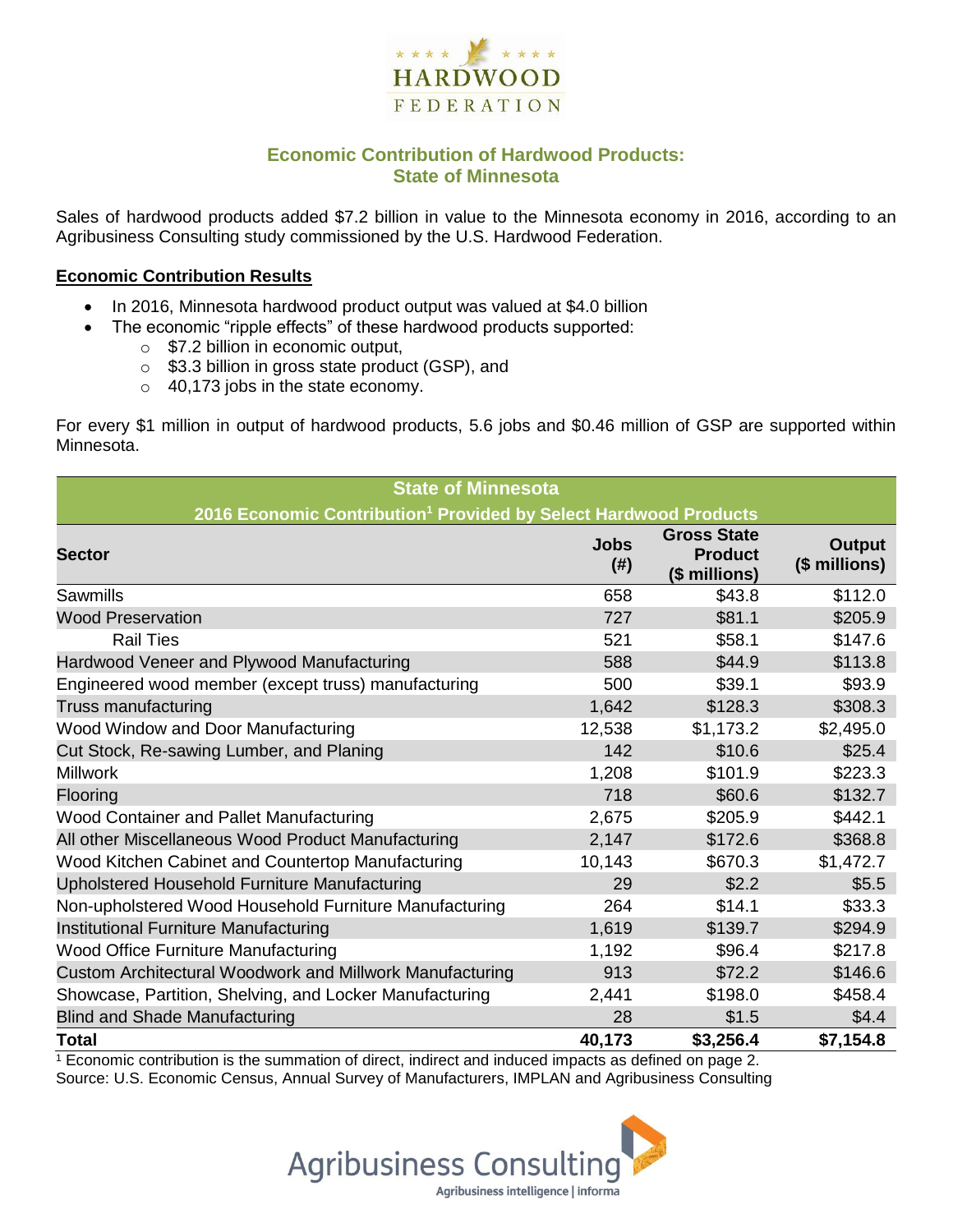

# **Economic Contribution of Hardwood Products: State of Minnesota**

Sales of hardwood products added \$7.2 billion in value to the Minnesota economy in 2016, according to an Agribusiness Consulting study commissioned by the U.S. Hardwood Federation.

#### **Economic Contribution Results**

- In 2016, Minnesota hardwood product output was valued at \$4.0 billion
	- The economic "ripple effects" of these hardwood products supported:
		- o \$7.2 billion in economic output,
		- o \$3.3 billion in gross state product (GSP), and
		- o 40,173 jobs in the state economy.

For every \$1 million in output of hardwood products, 5.6 jobs and \$0.46 million of GSP are supported within Minnesota.

| <b>State of Minnesota</b>                                                    |                          |                                                       |                                |  |  |  |
|------------------------------------------------------------------------------|--------------------------|-------------------------------------------------------|--------------------------------|--|--|--|
| 2016 Economic Contribution <sup>1</sup> Provided by Select Hardwood Products |                          |                                                       |                                |  |  |  |
| <b>Sector</b>                                                                | <b>Jobs</b><br>$($ # $)$ | <b>Gross State</b><br><b>Product</b><br>(\$ millions) | <b>Output</b><br>(\$ millions) |  |  |  |
| Sawmills                                                                     | 658                      | \$43.8                                                | \$112.0                        |  |  |  |
| <b>Wood Preservation</b>                                                     | 727                      | \$81.1                                                | \$205.9                        |  |  |  |
| <b>Rail Ties</b>                                                             | 521                      | \$58.1                                                | \$147.6                        |  |  |  |
| Hardwood Veneer and Plywood Manufacturing                                    | 588                      | \$44.9                                                | \$113.8                        |  |  |  |
| Engineered wood member (except truss) manufacturing                          | 500                      | \$39.1                                                | \$93.9                         |  |  |  |
| Truss manufacturing                                                          | 1,642                    | \$128.3                                               | \$308.3                        |  |  |  |
| Wood Window and Door Manufacturing                                           | 12,538                   | \$1,173.2                                             | \$2,495.0                      |  |  |  |
| Cut Stock, Re-sawing Lumber, and Planing                                     | 142                      | \$10.6                                                | \$25.4                         |  |  |  |
| <b>Millwork</b>                                                              | 1,208                    | \$101.9                                               | \$223.3                        |  |  |  |
| Flooring                                                                     | 718                      | \$60.6                                                | \$132.7                        |  |  |  |
| Wood Container and Pallet Manufacturing                                      | 2,675                    | \$205.9                                               | \$442.1                        |  |  |  |
| All other Miscellaneous Wood Product Manufacturing                           | 2,147                    | \$172.6                                               | \$368.8                        |  |  |  |
| Wood Kitchen Cabinet and Countertop Manufacturing                            | 10,143                   | \$670.3                                               | \$1,472.7                      |  |  |  |
| Upholstered Household Furniture Manufacturing                                | 29                       | \$2.2                                                 | \$5.5                          |  |  |  |
| Non-upholstered Wood Household Furniture Manufacturing                       | 264                      | \$14.1                                                | \$33.3                         |  |  |  |
| Institutional Furniture Manufacturing                                        | 1,619                    | \$139.7                                               | \$294.9                        |  |  |  |
| <b>Wood Office Furniture Manufacturing</b>                                   | 1,192                    | \$96.4                                                | \$217.8                        |  |  |  |
| Custom Architectural Woodwork and Millwork Manufacturing                     | 913                      | \$72.2                                                | \$146.6                        |  |  |  |
| Showcase, Partition, Shelving, and Locker Manufacturing                      | 2,441                    | \$198.0                                               | \$458.4                        |  |  |  |
| <b>Blind and Shade Manufacturing</b>                                         | 28                       | \$1.5                                                 | \$4.4                          |  |  |  |
| <b>Total</b>                                                                 | 40,173                   | \$3,256.4                                             | \$7,154.8                      |  |  |  |

 $1$  Economic contribution is the summation of direct, indirect and induced impacts as defined on page 2. Source: U.S. Economic Census, Annual Survey of Manufacturers, IMPLAN and Agribusiness Consulting